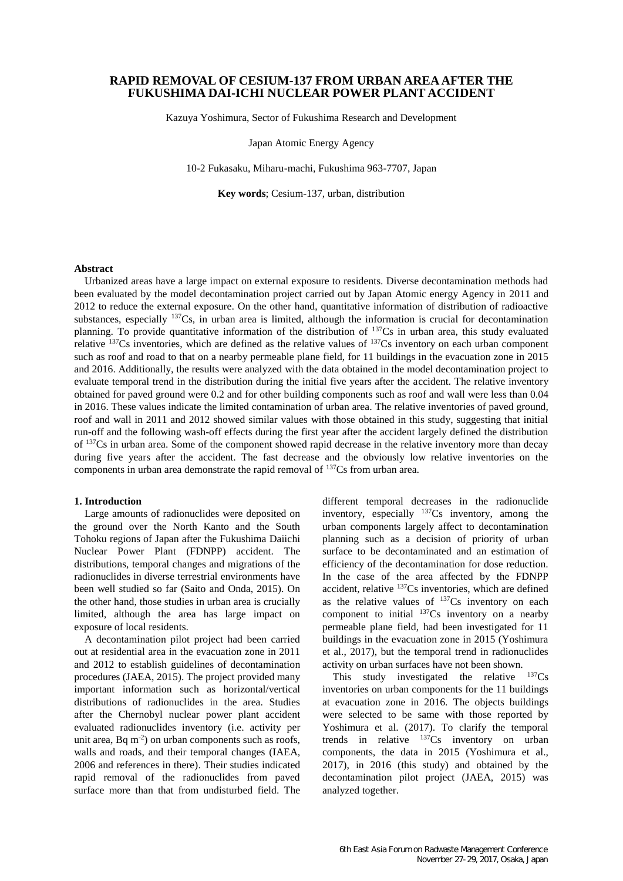# **RAPID REMOVAL OF CESIUM-137 FROM URBAN AREA AFTER THE FUKUSHIMA DAI-ICHI NUCLEAR POWER PLANT ACCIDENT**

Kazuya Yoshimura, Sector of Fukushima Research and Development

Japan Atomic Energy Agency

10-2 Fukasaku, Miharu-machi, Fukushima 963-7707, Japan

**Key words**; Cesium-137, urban, distribution

## **Abstract**

Urbanized areas have a large impact on external exposure to residents. Diverse decontamination methods had been evaluated by the model decontamination project carried out by Japan Atomic energy Agency in 2011 and 2012 to reduce the external exposure. On the other hand, quantitative information of distribution of radioactive substances, especially <sup>137</sup>Cs, in urban area is limited, although the information is crucial for decontamination planning. To provide quantitative information of the distribution of <sup>137</sup>Cs in urban area, this study evaluated relative  $137Cs$  inventories, which are defined as the relative values of  $137Cs$  inventory on each urban component such as roof and road to that on a nearby permeable plane field, for 11 buildings in the evacuation zone in 2015 and 2016. Additionally, the results were analyzed with the data obtained in the model decontamination project to evaluate temporal trend in the distribution during the initial five years after the accident. The relative inventory obtained for paved ground were 0.2 and for other building components such as roof and wall were less than 0.04 in 2016. These values indicate the limited contamination of urban area. The relative inventories of paved ground, roof and wall in 2011 and 2012 showed similar values with those obtained in this study, suggesting that initial run-off and the following wash-off effects during the first year after the accident largely defined the distribution of <sup>137</sup>Cs in urban area. Some of the component showed rapid decrease in the relative inventory more than decay during five years after the accident. The fast decrease and the obviously low relative inventories on the components in urban area demonstrate the rapid removal of <sup>137</sup>Cs from urban area.

#### **1. Introduction**

Large amounts of radionuclides were deposited on the ground over the North Kanto and the South Tohoku regions of Japan after the Fukushima Daiichi Nuclear Power Plant (FDNPP) accident. The distributions, temporal changes and migrations of the radionuclides in diverse terrestrial environments have been well studied so far (Saito and Onda, 2015). On the other hand, those studies in urban area is crucially limited, although the area has large impact on exposure of local residents.

A decontamination pilot project had been carried out at residential area in the evacuation zone in 2011 and 2012 to establish guidelines of decontamination procedures (JAEA, 2015). The project provided many important information such as horizontal/vertical distributions of radionuclides in the area. Studies after the Chernobyl nuclear power plant accident evaluated radionuclides inventory (i.e. activity per unit area,  $Bq$  m<sup>-2</sup>) on urban components such as roofs, walls and roads, and their temporal changes (IAEA, 2006 and references in there). Their studies indicated rapid removal of the radionuclides from paved surface more than that from undisturbed field. The

different temporal decreases in the radionuclide inventory, especially  $137Cs$  inventory, among the urban components largely affect to decontamination planning such as a decision of priority of urban surface to be decontaminated and an estimation of efficiency of the decontamination for dose reduction. In the case of the area affected by the FDNPP accident, relative <sup>137</sup>Cs inventories, which are defined as the relative values of  $137Cs$  inventory on each component to initial  $137Cs$  inventory on a nearby permeable plane field, had been investigated for 11 buildings in the evacuation zone in 2015 (Yoshimura et al., 2017), but the temporal trend in radionuclides activity on urban surfaces have not been shown.

This study investigated the relative  $137Cs$ inventories on urban components for the 11 buildings at evacuation zone in 2016. The objects buildings were selected to be same with those reported by Yoshimura et al. (2017). To clarify the temporal trends in relative  $137Cs$  inventory on urban components, the data in 2015 (Yoshimura et al., 2017), in 2016 (this study) and obtained by the decontamination pilot project (JAEA, 2015) was analyzed together.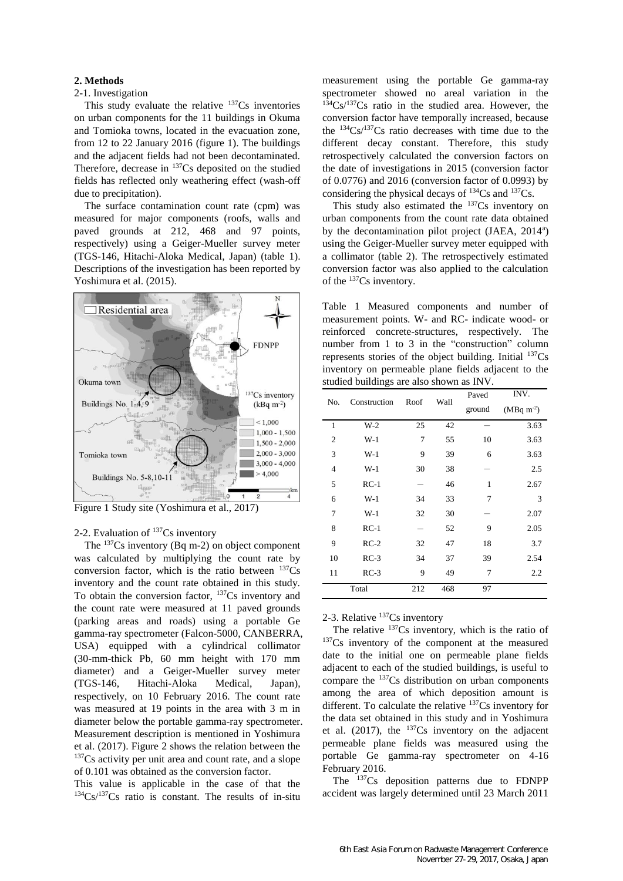#### **2. Methods**

## 2-1. Investigation

This study evaluate the relative  $137Cs$  inventories on urban components for the 11 buildings in Okuma and Tomioka towns, located in the evacuation zone, from 12 to 22 January 2016 (figure 1). The buildings and the adjacent fields had not been decontaminated. Therefore, decrease in  $137Cs$  deposited on the studied fields has reflected only weathering effect (wash-off due to precipitation).

The surface contamination count rate (cpm) was measured for major components (roofs, walls and paved grounds at 212, 468 and 97 points, respectively) using a Geiger-Mueller survey meter (TGS-146, Hitachi-Aloka Medical, Japan) (table 1). Descriptions of the investigation has been reported by Yoshimura et al. (2015).



Figure 1 Study site (Yoshimura et al., 2017)

# 2-2. Evaluation of <sup>137</sup>Cs inventory

The <sup>137</sup>Cs inventory (Bq m-2) on object component was calculated by multiplying the count rate by conversion factor, which is the ratio between  $137Cs$ inventory and the count rate obtained in this study. To obtain the conversion factor,  $137Cs$  inventory and the count rate were measured at 11 paved grounds (parking areas and roads) using a portable Ge gamma-ray spectrometer (Falcon-5000, CANBERRA, USA) equipped with a cylindrical collimator (30-mm-thick Pb, 60 mm height with 170 mm diameter) and a Geiger-Mueller survey meter (TGS-146, Hitachi-Aloka Medical, Japan), respectively, on 10 February 2016. The count rate was measured at 19 points in the area with 3 m in diameter below the portable gamma-ray spectrometer. Measurement description is mentioned in Yoshimura et al. (2017). Figure 2 shows the relation between the  $137Cs$  activity per unit area and count rate, and a slope of 0.101 was obtained as the conversion factor.

This value is applicable in the case of that the  $134Cs/137Cs$  ratio is constant. The results of in-situ measurement using the portable Ge gamma-ray spectrometer showed no areal variation in the  $134Cs/137Cs$  ratio in the studied area. However, the conversion factor have temporally increased, because the  $134Cs/137Cs$  ratio decreases with time due to the different decay constant. Therefore, this study retrospectively calculated the conversion factors on the date of investigations in 2015 (conversion factor of 0.0776) and 2016 (conversion factor of 0.0993) by considering the physical decays of  $^{134}Cs$  and  $^{137}Cs$ .

This study also estimated the  $137Cs$  inventory on urban components from the count rate data obtained by the decontamination pilot project (JAEA, 2014<sup>a</sup>) using the Geiger-Mueller survey meter equipped with a collimator (table 2). The retrospectively estimated conversion factor was also applied to the calculation of the <sup>137</sup>Cs inventory.

Table 1 Measured components and number of measurement points. W- and RC- indicate wood- or reinforced concrete-structures, respectively. The number from 1 to 3 in the "construction" column represents stories of the object building. Initial <sup>137</sup>Cs inventory on permeable plane fields adjacent to the studied buildings are also shown as INV.

| No.            | Construction | Roof | Wall | Paved  | INV.              |  |
|----------------|--------------|------|------|--------|-------------------|--|
|                |              |      |      | ground | $(MBq \, m^{-2})$ |  |
| $\mathbf{1}$   | $W-2$        | 25   | 42   |        | 3.63              |  |
| $\overline{2}$ | $W-1$        | 7    | 55   | 10     | 3.63              |  |
| 3              | $W-1$        | 9    | 39   | 6      | 3.63              |  |
| $\overline{4}$ | $W-1$        | 30   | 38   |        | 2.5               |  |
| 5              | $RC-1$       |      | 46   | 1      | 2.67              |  |
| 6              | $W-1$        | 34   | 33   | 7      | 3                 |  |
| 7              | $W-1$        | 32   | 30   |        | 2.07              |  |
| 8              | $RC-1$       |      | 52   | 9      | 2.05              |  |
| 9              | $RC-2$       | 32   | 47   | 18     | 3.7               |  |
| 10             | $RC-3$       | 34   | 37   | 39     | 2.54              |  |
| 11             | $RC-3$       | 9    | 49   | 7      | 2.2               |  |
| Total          |              | 212  | 468  | 97     |                   |  |

# 2-3. Relative <sup>137</sup>Cs inventory

The relative  $137Cs$  inventory, which is the ratio of <sup>137</sup>Cs inventory of the component at the measured date to the initial one on permeable plane fields adjacent to each of the studied buildings, is useful to compare the <sup>137</sup>Cs distribution on urban components among the area of which deposition amount is different. To calculate the relative <sup>137</sup>Cs inventory for the data set obtained in this study and in Yoshimura et al.  $(2017)$ , the  $137Cs$  inventory on the adjacent permeable plane fields was measured using the portable Ge gamma-ray spectrometer on 4-16 February 2016.

The <sup>137</sup>Cs deposition patterns due to FDNPP accident was largely determined until 23 March 2011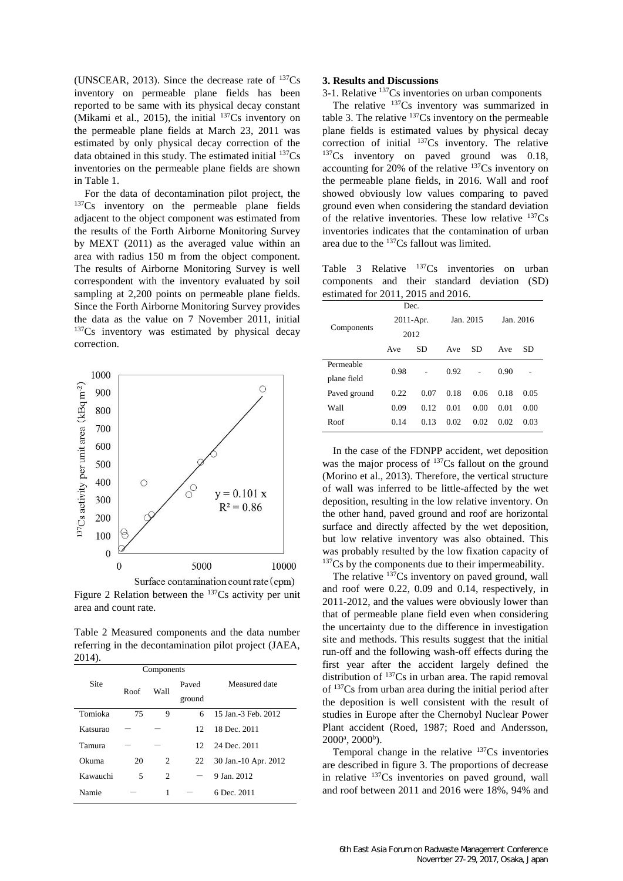(UNSCEAR, 2013). Since the decrease rate of  $^{137}Cs$ inventory on permeable plane fields has been reported to be same with its physical decay constant (Mikami et al., 2015), the initial  $137Cs$  inventory on the permeable plane fields at March 23, 2011 was estimated by only physical decay correction of the data obtained in this study. The estimated initial  $137Cs$ inventories on the permeable plane fields are shown in Table 1.

For the data of decontamination pilot project, the <sup>137</sup>Cs inventory on the permeable plane fields adjacent to the object component was estimated from the results of the Forth Airborne Monitoring Survey by MEXT (2011) as the averaged value within an area with radius 150 m from the object component. The results of Airborne Monitoring Survey is well correspondent with the inventory evaluated by soil sampling at 2,200 points on permeable plane fields. Since the Forth Airborne Monitoring Survey provides the data as the value on 7 November 2011, initial <sup>137</sup>Cs inventory was estimated by physical decay correction.



Figure 2 Relation between the <sup>137</sup>Cs activity per unit area and count rate.

Table 2 Measured components and the data number referring in the decontamination pilot project (JAEA, 2014).

|          |      | Components  |              | Measured date        |  |
|----------|------|-------------|--------------|----------------------|--|
| Site     | Roof | <b>Wall</b> | Paved        |                      |  |
|          |      |             | ground       |                      |  |
| Tomioka  | 75   | 9           | 6            | 15 Jan.-3 Feb. 2012  |  |
| Katsurao |      |             | 12           | 18 Dec. 2011         |  |
| Tamura   |      |             | $12^{\circ}$ | 24 Dec. 2011         |  |
| Okuma    | 20   | 2           | 22           | 30 Jan.-10 Apr. 2012 |  |
| Kawauchi | 5    | 2           |              | 9 Jan. 2012.         |  |
| Namie    |      | 1           |              | 6 Dec. 2011          |  |

### **3. Results and Discussions**

3-1. Relative <sup>137</sup>Cs inventories on urban components

The relative <sup>137</sup>Cs inventory was summarized in table 3. The relative  $137Cs$  inventory on the permeable plane fields is estimated values by physical decay correction of initial  $137Cs$  inventory. The relative <sup>137</sup>Cs inventory on paved ground was 0.18, accounting for 20% of the relative  $137Cs$  inventory on the permeable plane fields, in 2016. Wall and roof showed obviously low values comparing to paved ground even when considering the standard deviation of the relative inventories. These low relative  $137Cs$ inventories indicates that the contamination of urban area due to the <sup>137</sup>Cs fallout was limited.

Table 3 Relative  $137Cs$  inventories on urban components and their standard deviation (SD) estimated for 2011, 2015 and 2016.

|              | Dec.                     |      |                  |      |           |      |
|--------------|--------------------------|------|------------------|------|-----------|------|
| Components   | $2011-Apr.$              |      | Jan. 2015        |      | Jan. 2016 |      |
|              | 2012<br><b>SD</b><br>Ave |      | <b>SD</b><br>Ave |      | SD<br>Ave |      |
|              |                          |      |                  |      |           |      |
| Permeable    | 0.98                     |      | 0.92             |      | 0.90      |      |
| plane field  |                          |      |                  |      |           |      |
| Paved ground | 0.22                     | 0.07 | 0.18             | 0.06 | 0.18      | 0.05 |
| Wall         | 0.09                     | 0.12 | 0.01             | 0.00 | 0.01      | 0.00 |
| Roof         | 0.14                     | 0.13 | 0.02             | 0.02 | 0.02      | 0.03 |

In the case of the FDNPP accident, wet deposition was the major process of <sup>137</sup>Cs fallout on the ground (Morino et al., 2013). Therefore, the vertical structure of wall was inferred to be little-affected by the wet deposition, resulting in the low relative inventory. On the other hand, paved ground and roof are horizontal surface and directly affected by the wet deposition, but low relative inventory was also obtained. This was probably resulted by the low fixation capacity of  $137Cs$  by the components due to their impermeability.

The relative  $137Cs$  inventory on paved ground, wall and roof were 0.22, 0.09 and 0.14, respectively, in 2011-2012, and the values were obviously lower than that of permeable plane field even when considering the uncertainty due to the difference in investigation site and methods. This results suggest that the initial run-off and the following wash-off effects during the first year after the accident largely defined the distribution of <sup>137</sup>Cs in urban area. The rapid removal of <sup>137</sup>Cs from urban area during the initial period after the deposition is well consistent with the result of studies in Europe after the Chernobyl Nuclear Power Plant accident (Roed, 1987; Roed and Andersson,  $2000^{\circ}, 2000^{\circ}$ ).

Temporal change in the relative  $137Cs$  inventories are described in figure 3. The proportions of decrease in relative <sup>137</sup>Cs inventories on paved ground, wall and roof between 2011 and 2016 were 18%, 94% and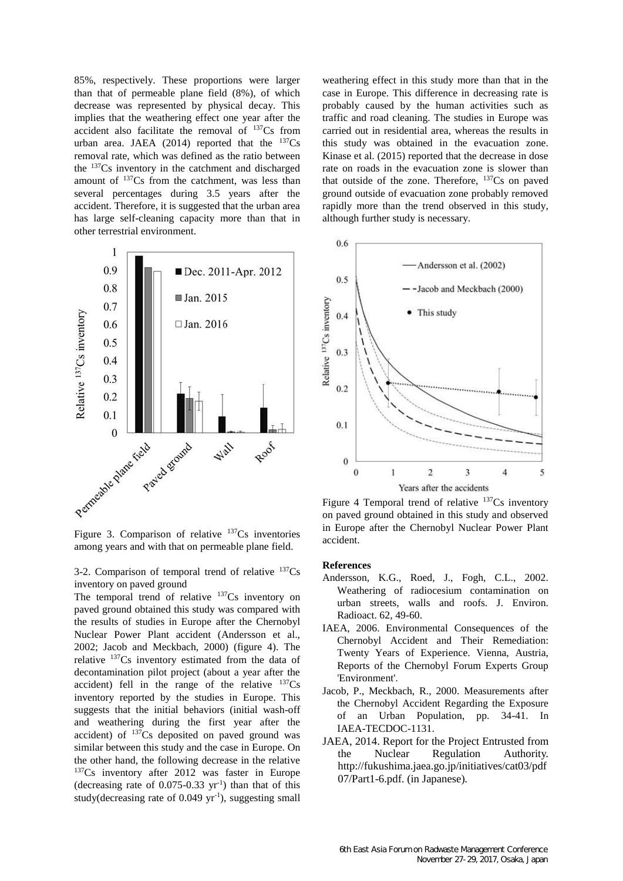85%, respectively. These proportions were larger than that of permeable plane field (8%), of which decrease was represented by physical decay. This implies that the weathering effect one year after the accident also facilitate the removal of  $137Cs$  from urban area. JAEA (2014) reported that the  $^{137}Cs$ removal rate, which was defined as the ratio between the <sup>137</sup>Cs inventory in the catchment and discharged amount of  $137Cs$  from the catchment, was less than several percentages during 3.5 years after the accident. Therefore, it is suggested that the urban area has large self-cleaning capacity more than that in other terrestrial environment.



among years and with that on permeable plane field.

3-2. Comparison of temporal trend of relative  $137Cs$ inventory on paved ground

The temporal trend of relative  $137Cs$  inventory on paved ground obtained this study was compared with the results of studies in Europe after the Chernobyl Nuclear Power Plant accident (Andersson et al., 2002; Jacob and Meckbach, 2000) (figure 4). The relative <sup>137</sup>Cs inventory estimated from the data of decontamination pilot project (about a year after the accident) fell in the range of the relative  $137Cs$ inventory reported by the studies in Europe. This suggests that the initial behaviors (initial wash-off and weathering during the first year after the accident) of  $137Cs$  deposited on paved ground was similar between this study and the case in Europe. On the other hand, the following decrease in the relative <sup>137</sup>Cs inventory after 2012 was faster in Europe  $(decreasing rate of 0.075-0.33 yr<sup>-1</sup>) than that of this$ study(decreasing rate of  $0.049 \text{ yr}^{-1}$ ), suggesting small weathering effect in this study more than that in the case in Europe. This difference in decreasing rate is probably caused by the human activities such as traffic and road cleaning. The studies in Europe was carried out in residential area, whereas the results in this study was obtained in the evacuation zone. Kinase et al. (2015) reported that the decrease in dose rate on roads in the evacuation zone is slower than that outside of the zone. Therefore,  $137Cs$  on paved ground outside of evacuation zone probably removed rapidly more than the trend observed in this study, although further study is necessary.



Figure 4 Temporal trend of relative  $137Cs$  inventory on paved ground obtained in this study and observed in Europe after the Chernobyl Nuclear Power Plant accident.

#### **References**

- Andersson, K.G., Roed, J., Fogh, C.L., 2002. Weathering of radiocesium contamination on urban streets, walls and roofs. J. Environ. Radioact. 62, 49-60.
- IAEA, 2006. Environmental Consequences of the Chernobyl Accident and Their Remediation: Twenty Years of Experience. Vienna, Austria, Reports of the Chernobyl Forum Experts Group 'Environment'.
- Jacob, P., Meckbach, R., 2000. Measurements after the Chernobyl Accident Regarding the Exposure of an Urban Population, pp. 34-41. In IAEA-TECDOC-1131.
- JAEA, 2014. Report for the Project Entrusted from the Nuclear Regulation Authority. http://fukushima.jaea.go.jp/initiatives/cat03/pdf 07/Part1-6.pdf. (in Japanese).